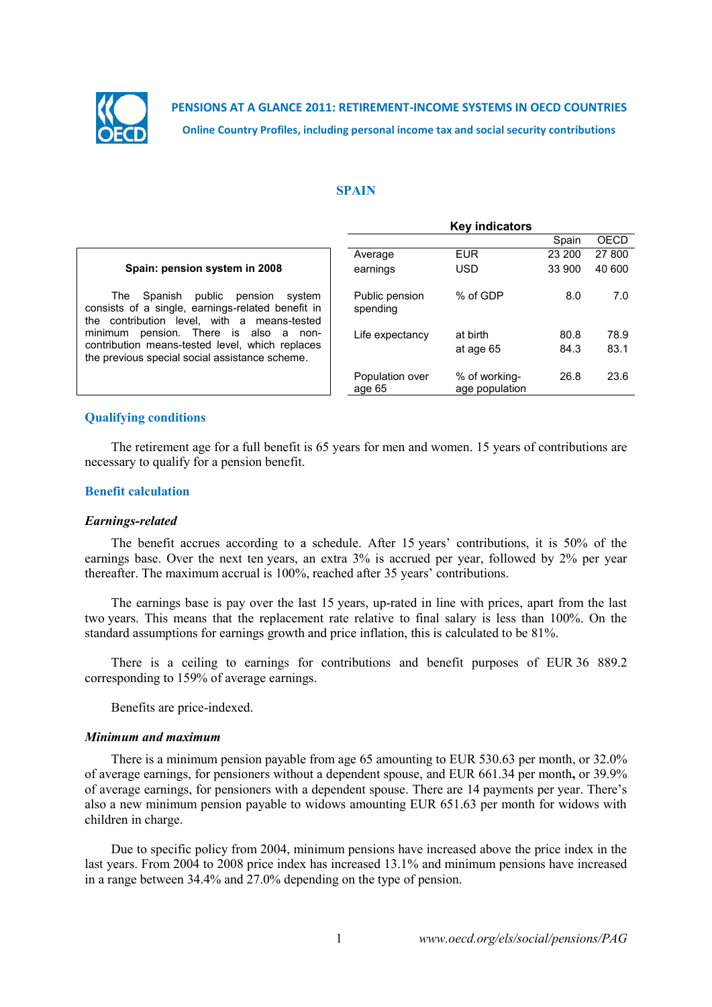

**PENSIONS AT A GLANCE 2011: RETIREMENT-INCOME SYSTEMS IN OECD COUNTRIES Online Country Profiles, including personal income tax and social security contributions**

#### **SPAIN**

|                                                                                                                                                     | <b>Key indicators</b>      |                                 |        |        |  |  |
|-----------------------------------------------------------------------------------------------------------------------------------------------------|----------------------------|---------------------------------|--------|--------|--|--|
|                                                                                                                                                     |                            |                                 | Spain  | OECD   |  |  |
|                                                                                                                                                     | Average                    | <b>EUR</b>                      | 23 200 | 27 800 |  |  |
| Spain: pension system in 2008                                                                                                                       | earnings                   | <b>USD</b>                      | 33 900 | 40 600 |  |  |
| public<br>pension<br>Spanish<br>The .<br>system<br>consists of a single, earnings-related benefit in<br>the contribution level, with a means-tested | Public pension<br>spending | % of GDP                        | 8.0    | 7.0    |  |  |
| pension. There is also<br>minimum<br>a.<br>non-                                                                                                     | Life expectancy            | at birth                        | 80.8   | 78.9   |  |  |
| contribution means-tested level, which replaces<br>the previous special social assistance scheme.                                                   |                            | at age 65                       | 84.3   | 83.1   |  |  |
|                                                                                                                                                     | Population over<br>age 65  | % of working-<br>age population | 26.8   | 23.6   |  |  |

# **Qualifying conditions**

The retirement age for a full benefit is 65 years for men and women. 15 years of contributions are necessary to qualify for a pension benefit.

### **Benefit calculation**

#### *Earnings-related*

The benefit accrues according to a schedule. After 15 years' contributions, it is 50% of the earnings base. Over the next ten years, an extra 3% is accrued per year, followed by 2% per year thereafter. The maximum accrual is 100%, reached after 35 years' contributions.

The earnings base is pay over the last 15 years, up-rated in line with prices, apart from the last two years. This means that the replacement rate relative to final salary is less than 100%. On the standard assumptions for earnings growth and price inflation, this is calculated to be 81%.

There is a ceiling to earnings for contributions and benefit purposes of EUR 36 889.2 corresponding to 159% of average earnings.

Benefits are price-indexed.

#### *Minimum and maximum*

There is a minimum pension payable from age 65 amounting to EUR 530.63 per month, or 32.0% of average earnings, for pensioners without a dependent spouse, and EUR 661.34 per month**,** or 39.9% of average earnings, for pensioners with a dependent spouse. There are 14 payments per year. There's also a new minimum pension payable to widows amounting EUR 651.63 per month for widows with children in charge.

Due to specific policy from 2004, minimum pensions have increased above the price index in the last years. From 2004 to 2008 price index has increased 13.1% and minimum pensions have increased in a range between 34.4% and 27.0% depending on the type of pension.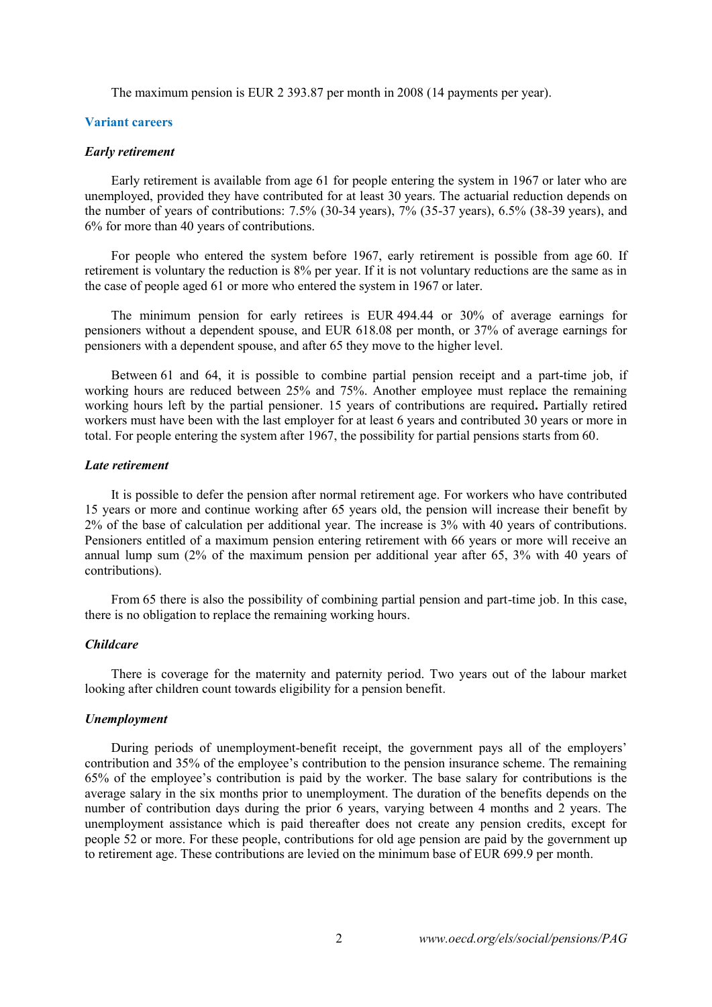The maximum pension is EUR 2 393.87 per month in 2008 (14 payments per year).

### **Variant careers**

#### *Early retirement*

Early retirement is available from age 61 for people entering the system in 1967 or later who are unemployed, provided they have contributed for at least 30 years. The actuarial reduction depends on the number of years of contributions: 7.5% (30-34 years), 7% (35-37 years), 6.5% (38-39 years), and 6% for more than 40 years of contributions.

For people who entered the system before 1967, early retirement is possible from age 60. If retirement is voluntary the reduction is 8% per year. If it is not voluntary reductions are the same as in the case of people aged 61 or more who entered the system in 1967 or later.

The minimum pension for early retirees is EUR 494.44 or 30% of average earnings for pensioners without a dependent spouse, and EUR 618.08 per month, or 37% of average earnings for pensioners with a dependent spouse, and after 65 they move to the higher level.

Between 61 and 64, it is possible to combine partial pension receipt and a part-time job, if working hours are reduced between 25% and 75%. Another employee must replace the remaining working hours left by the partial pensioner. 15 years of contributions are required**.** Partially retired workers must have been with the last employer for at least 6 years and contributed 30 years or more in total. For people entering the system after 1967, the possibility for partial pensions starts from 60.

### *Late retirement*

It is possible to defer the pension after normal retirement age. For workers who have contributed 15 years or more and continue working after 65 years old, the pension will increase their benefit by 2% of the base of calculation per additional year. The increase is 3% with 40 years of contributions. Pensioners entitled of a maximum pension entering retirement with 66 years or more will receive an annual lump sum (2% of the maximum pension per additional year after 65, 3% with 40 years of contributions).

From 65 there is also the possibility of combining partial pension and part-time job. In this case, there is no obligation to replace the remaining working hours.

#### *Childcare*

There is coverage for the maternity and paternity period. Two years out of the labour market looking after children count towards eligibility for a pension benefit.

#### *Unemployment*

During periods of unemployment-benefit receipt, the government pays all of the employers' contribution and 35% of the employee's contribution to the pension insurance scheme. The remaining 65% of the employee's contribution is paid by the worker. The base salary for contributions is the average salary in the six months prior to unemployment. The duration of the benefits depends on the number of contribution days during the prior 6 years, varying between 4 months and 2 years. The unemployment assistance which is paid thereafter does not create any pension credits, except for people 52 or more. For these people, contributions for old age pension are paid by the government up to retirement age. These contributions are levied on the minimum base of EUR 699.9 per month.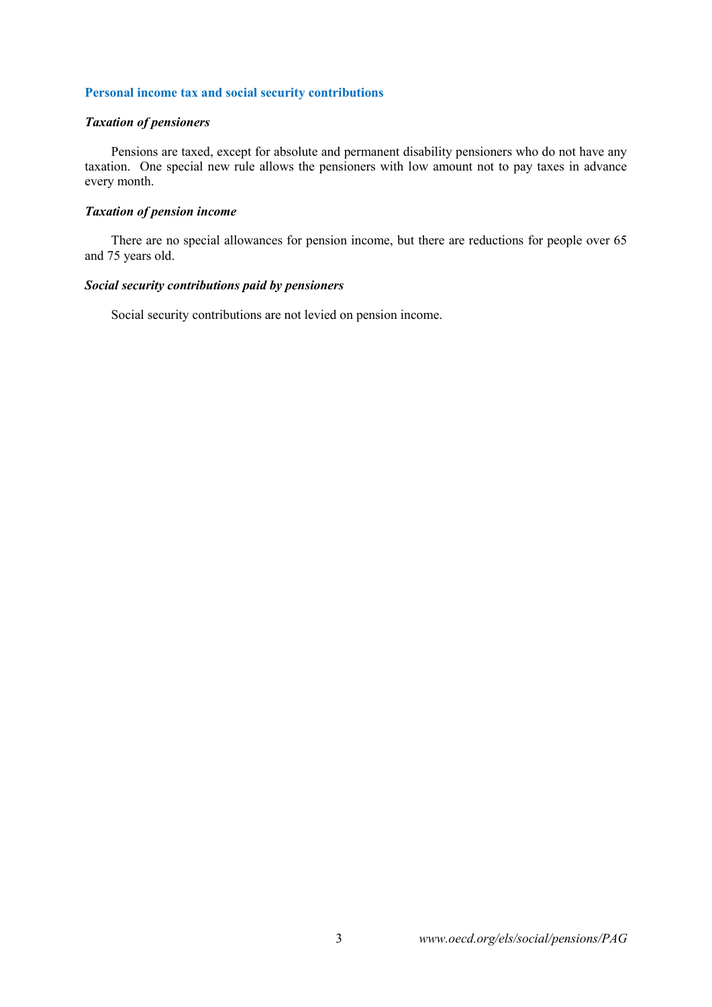# **Personal income tax and social security contributions**

# *Taxation of pensioners*

Pensions are taxed, except for absolute and permanent disability pensioners who do not have any taxation. One special new rule allows the pensioners with low amount not to pay taxes in advance every month.

# *Taxation of pension income*

There are no special allowances for pension income, but there are reductions for people over 65 and 75 years old.

# *Social security contributions paid by pensioners*

Social security contributions are not levied on pension income.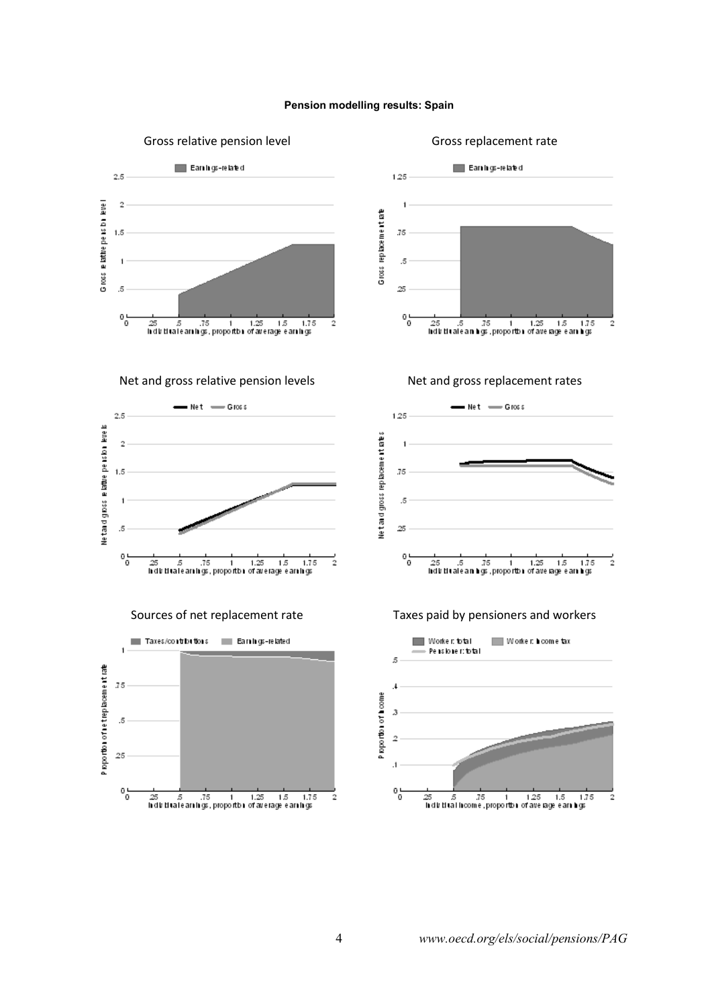#### **Pension modelling results: Spain**



4 *www.oecd.org/els/social/pensions/PAG*